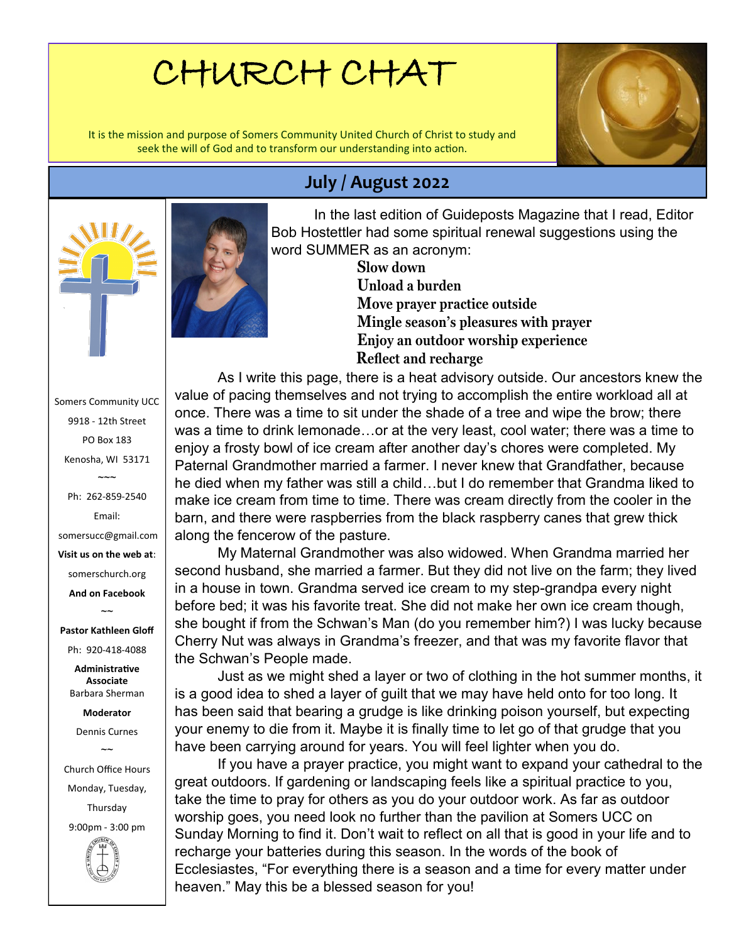# CHURCH CHAT

It is the mission and purpose of Somers Community United Church of Christ to study and seek the will of God and to transform our understanding into action.



### **July / August 2022**



**Slow down Unload a burden Move prayer practice outside Mingle season's pleasures with prayer Enjoy an outdoor worship experience Reflect and recharge**

As I write this page, there is a heat advisory outside. Our ancestors knew the value of pacing themselves and not trying to accomplish the entire workload all at once. There was a time to sit under the shade of a tree and wipe the brow; there was a time to drink lemonade…or at the very least, cool water; there was a time to enjoy a frosty bowl of ice cream after another day's chores were completed. My Paternal Grandmother married a farmer. I never knew that Grandfather, because he died when my father was still a child…but I do remember that Grandma liked to make ice cream from time to time. There was cream directly from the cooler in the barn, and there were raspberries from the black raspberry canes that grew thick along the fencerow of the pasture.

My Maternal Grandmother was also widowed. When Grandma married her second husband, she married a farmer. But they did not live on the farm; they lived in a house in town. Grandma served ice cream to my step-grandpa every night before bed; it was his favorite treat. She did not make her own ice cream though, she bought if from the Schwan's Man (do you remember him?) I was lucky because Cherry Nut was always in Grandma's freezer, and that was my favorite flavor that the Schwan's People made.

Just as we might shed a layer or two of clothing in the hot summer months, it is a good idea to shed a layer of guilt that we may have held onto for too long. It has been said that bearing a grudge is like drinking poison yourself, but expecting your enemy to die from it. Maybe it is finally time to let go of that grudge that you have been carrying around for years. You will feel lighter when you do.

If you have a prayer practice, you might want to expand your cathedral to the great outdoors. If gardening or landscaping feels like a spiritual practice to you, take the time to pray for others as you do your outdoor work. As far as outdoor worship goes, you need look no further than the pavilion at Somers UCC on Sunday Morning to find it. Don't wait to reflect on all that is good in your life and to recharge your batteries during this season. In the words of the book of Ecclesiastes, "For everything there is a season and a time for every matter under heaven." May this be a blessed season for you!





Somers Community UCC 9918 - 12th Street PO Box 183 Kenosha, WI 53171  $\sim$  $\sim$ Ph: 262-859-2540 Email: somersucc@gmail.com **Visit us on the web at**: somerschurch.org **And on Facebook**   $\sim$ **Pastor Kathleen Gloff** Ph: 920-418-4088 **Administrative Associate** Barbara Sherman **Moderator** Dennis Curnes  $\sim$ Church Office Hours Monday, Tuesday, Thursday

9:00pm - 3:00 pm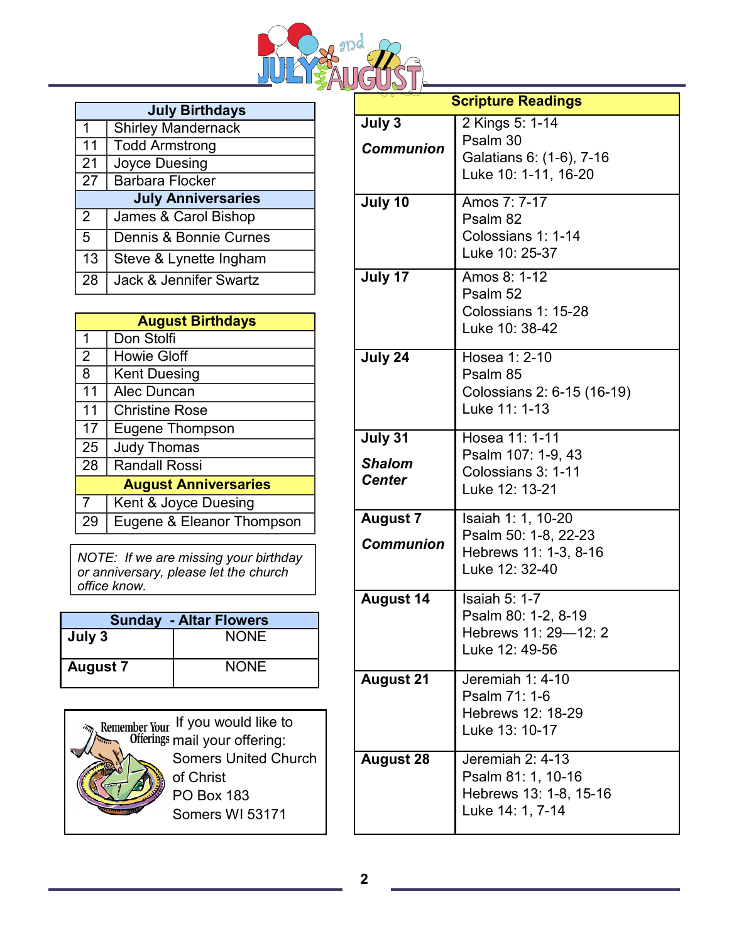

|                           | <b>July Birthdays</b>     |  |  |  |
|---------------------------|---------------------------|--|--|--|
| 1                         | <b>Shirley Mandernack</b> |  |  |  |
| 11                        | <b>Todd Armstrong</b>     |  |  |  |
| $\mid$ 21                 | Joyce Duesing             |  |  |  |
| 27                        | <b>Barbara Flocker</b>    |  |  |  |
| <b>July Anniversaries</b> |                           |  |  |  |
| -2                        | James & Carol Bishop      |  |  |  |
| 5                         | Dennis & Bonnie Curnes    |  |  |  |
| 13                        | Steve & Lynette Ingham    |  |  |  |
| 28                        | Jack & Jennifer Swartz    |  |  |  |

|                             | <b>August Birthdays</b>   |  |  |  |
|-----------------------------|---------------------------|--|--|--|
| 1                           | Don Stolfi                |  |  |  |
| 2                           | <b>Howie Gloff</b>        |  |  |  |
| 8                           | <b>Kent Duesing</b>       |  |  |  |
| 11                          | Alec Duncan               |  |  |  |
| 11                          | <b>Christine Rose</b>     |  |  |  |
| 17                          | Eugene Thompson           |  |  |  |
| 25                          | <b>Judy Thomas</b>        |  |  |  |
| 28                          | <b>Randall Rossi</b>      |  |  |  |
| <b>August Anniversaries</b> |                           |  |  |  |
| 7                           | Kent & Joyce Duesing      |  |  |  |
| 29                          | Eugene & Eleanor Thompson |  |  |  |

*NOTE: If we are missing your birthday or anniversary, please let the church office know.* 

| <b>Sunday - Altar Flowers</b> |             |  |  |
|-------------------------------|-------------|--|--|
| July 3                        | <b>NONE</b> |  |  |
| <b>August 7</b>               | <b>NONE</b> |  |  |



|                                           | <b>Scripture Readings</b>                                                             |
|-------------------------------------------|---------------------------------------------------------------------------------------|
| July 3<br><b>Communion</b>                | 2 Kings 5: 1-14<br>Psalm 30<br>Galatians 6: (1-6), 7-16<br>Luke 10: 1-11, 16-20       |
| July 10                                   | Amos 7: 7-17<br>Psalm 82<br>Colossians 1: 1-14<br>Luke 10: 25-37                      |
| July 17                                   | Amos 8: 1-12<br>Psalm 52<br>Colossians 1: 15-28<br>Luke 10: 38-42                     |
| July 24                                   | Hosea 1: 2-10<br>Psalm 85<br>Colossians 2: 6-15 (16-19)<br>Luke 11: 1-13              |
| July 31<br><b>Shalom</b><br><b>Center</b> | Hosea 11: 1-11<br>Psalm 107: 1-9, 43<br>Colossians 3: 1-11<br>Luke 12: 13-21          |
| <b>August 7</b><br><b>Communion</b>       | Isaiah 1: 1, 10-20<br>Psalm 50: 1-8, 22-23<br>Hebrews 11: 1-3, 8-16<br>Luke 12: 32-40 |
| <b>August 14</b>                          | Isaiah $5:1-7$<br>Psalm 80: 1-2, 8-19<br>Hebrews 11: 29-12: 2<br>Luke 12: 49-56       |
| <b>August 21</b>                          | Jeremiah 1: 4-10<br>Psalm 71: 1-6<br>Hebrews 12: 18-29<br>Luke 13: 10-17              |
| <b>August 28</b>                          | Jeremiah 2: 4-13<br>Psalm 81: 1, 10-16<br>Hebrews 13: 1-8, 15-16<br>Luke 14: 1, 7-14  |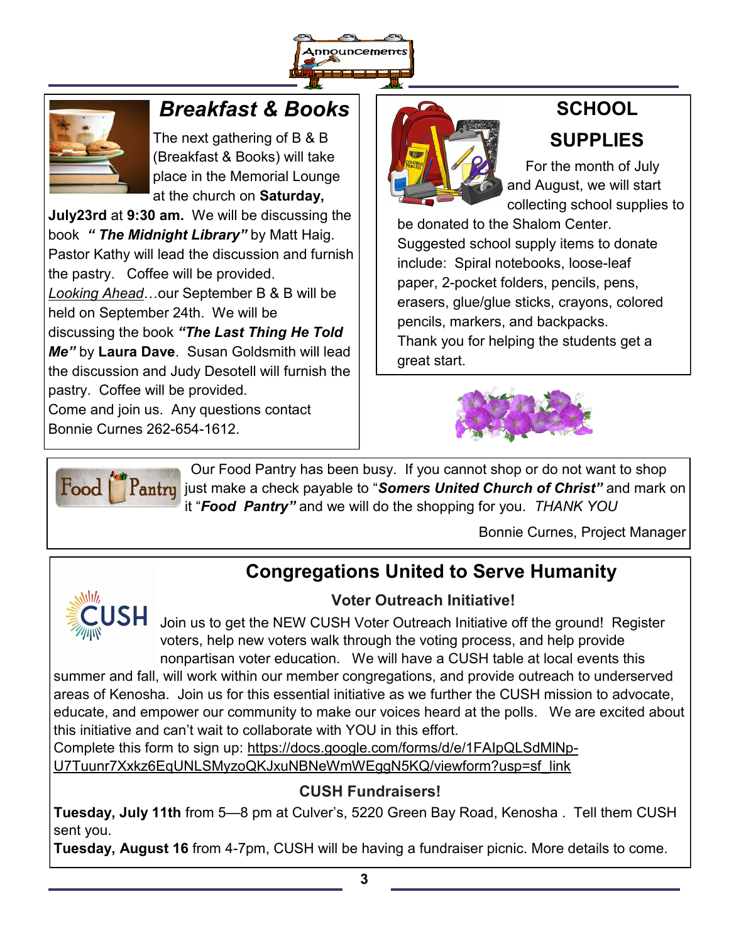



## *Breakfast & Books*

The next gathering of B & B (Breakfast & Books) will take place in the Memorial Lounge at the church on **Saturday,** 

**July23rd** at **9:30 am.** We will be discussing the book *" The Midnight Library"* by Matt Haig. Pastor Kathy will lead the discussion and furnish the pastry. Coffee will be provided.

*Looking Ahead*…our September B & B will be held on September 24th. We will be

discussing the book *"The Last Thing He Told Me"* by **Laura Dave**. Susan Goldsmith will lead the discussion and Judy Desotell will furnish the pastry. Coffee will be provided.

Come and join us. Any questions contact Bonnie Curnes 262-654-1612.



## **SCHOOL SUPPLIES**

 For the month of July and August, we will start collecting school supplies to

be donated to the Shalom Center. Suggested school supply items to donate include: Spiral notebooks, loose-leaf paper, 2-pocket folders, pencils, pens, erasers, glue/glue sticks, crayons, colored pencils, markers, and backpacks. Thank you for helping the students get a great start.





 Our Food Pantry has been busy. If you cannot shop or do not want to shop  $\left\| \bm{P_{\text{antry}}} \right\|$  just make a check payable to "*Somers United Church of Christ"* and mark on it "*Food Pantry"* and we will do the shopping for you. *THANK YOU*

Bonnie Curnes, Project Manager

## **Congregations United to Serve Humanity**



#### **Voter Outreach Initiative!**

Join us to get the NEW CUSH Voter Outreach Initiative off the ground! Register voters, help new voters walk through the voting process, and help provide nonpartisan voter education. We will have a CUSH table at local events this

summer and fall, will work within our member congregations, and provide outreach to underserved areas of Kenosha. Join us for this essential initiative as we further the CUSH mission to advocate, educate, and empower our community to make our voices heard at the polls. We are excited about this initiative and can't wait to collaborate with YOU in this effort.

Complete this form to sign up: [https://docs.google.com/forms/d/e/1FAIpQLSdMlNp](https://docs.google.com/forms/d/e/1FAIpQLSdMlNp-U7Tuunr7Xxkz6EqUNLSMyzoQKJxuNBNeWmWEggN5KQ/viewform?usp=sf_link)-[U7Tuunr7Xxkz6EqUNLSMyzoQKJxuNBNeWmWEggN5KQ/viewform?usp=sf\\_link](https://docs.google.com/forms/d/e/1FAIpQLSdMlNp-U7Tuunr7Xxkz6EqUNLSMyzoQKJxuNBNeWmWEggN5KQ/viewform?usp=sf_link)

#### **CUSH Fundraisers!**

**Tuesday, July 11th** from 5—8 pm at Culver's, 5220 Green Bay Road, Kenosha . Tell them CUSH sent you.

**Tuesday, August 16** from 4-7pm, CUSH will be having a fundraiser picnic. More details to come.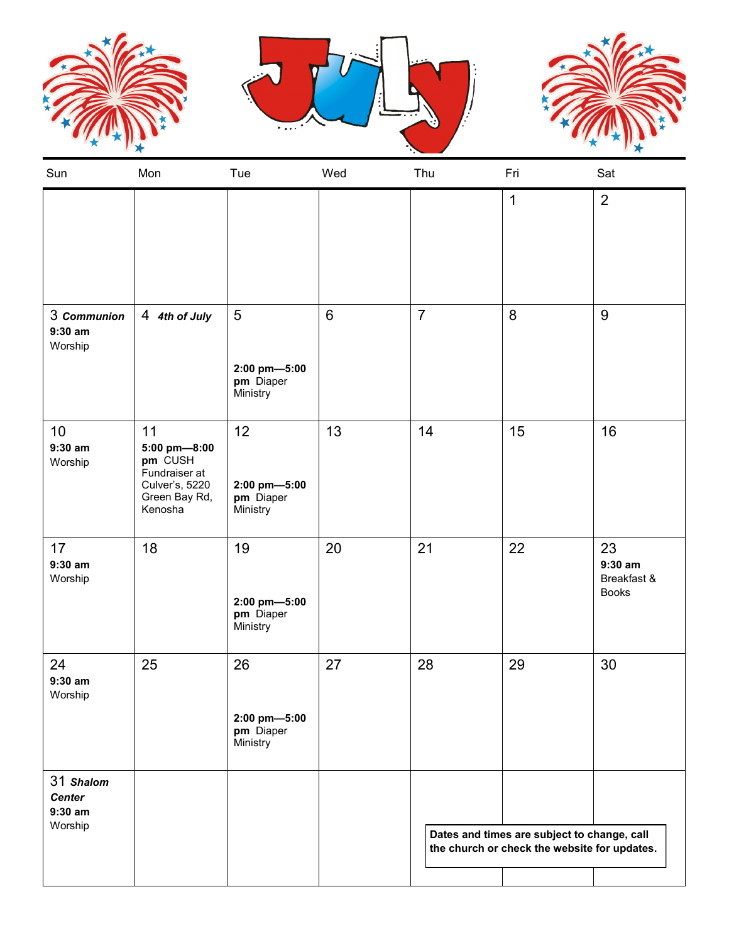





| Sun                                                | Mon                                                                                          | Tue                                         | Wed   | Thu                                                                                         | Fri          | Sat                                            |
|----------------------------------------------------|----------------------------------------------------------------------------------------------|---------------------------------------------|-------|---------------------------------------------------------------------------------------------|--------------|------------------------------------------------|
|                                                    |                                                                                              |                                             |       |                                                                                             | $\mathbf{1}$ | $\overline{2}$                                 |
| 3 Communion<br>$9:30$ am<br>Worship                | 4 4th of July                                                                                | 5<br>2:00 pm-5:00<br>pm Diaper<br>Ministry  | $\,6$ | $\overline{7}$                                                                              | 8            | $9\,$                                          |
| 10<br>$9:30$ am<br>Worship                         | 11<br>5:00 pm-8:00<br>pm CUSH<br>Fundraiser at<br>Culver's, 5220<br>Green Bay Rd,<br>Kenosha | 12<br>2:00 pm-5:00<br>pm Diaper<br>Ministry | 13    | 14                                                                                          | 15           | 16                                             |
| 17<br>$9:30$ am<br>Worship                         | 18                                                                                           | 19<br>2:00 pm-5:00<br>pm Diaper<br>Ministry | 20    | 21                                                                                          | 22           | 23<br>$9:30$ am<br>Breakfast &<br><b>Books</b> |
| 24<br>$9:30$ am<br>Worship                         | 25                                                                                           | 26<br>2:00 pm-5:00<br>pm Diaper<br>Ministry | 27    | 28                                                                                          | 29           | 30                                             |
| 31 Shalom<br><b>Center</b><br>$9:30$ am<br>Worship |                                                                                              |                                             |       | Dates and times are subject to change, call<br>the church or check the website for updates. |              |                                                |